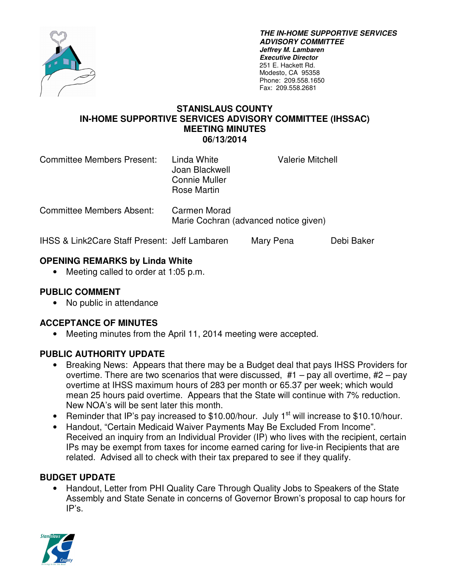

**THE IN-HOME SUPPORTIVE SERVICES ADVISORY COMMITTEE Jeffrey M. Lambaren Executive Director**  251 E. Hackett Rd. Modesto, CA 95358 Phone: 209.558.1650 Fax: 209.558.2681

#### **STANISLAUS COUNTY IN-HOME SUPPORTIVE SERVICES ADVISORY COMMITTEE (IHSSAC) MEETING MINUTES 06/13/2014**

| Committee Members Present: | Linda White<br>Joan Blackwell<br><b>Connie Muller</b><br>Rose Martin | <b>Valerie Mitchell</b> |
|----------------------------|----------------------------------------------------------------------|-------------------------|
| Committee Members Absent:  | Carmen Morad<br>Marie Cochran (advanced notice given)                |                         |

IHSS & Link2Care Staff Present: Jeff Lambaren Mary Pena Debi Baker

### **OPENING REMARKS by Linda White**

• Meeting called to order at 1:05 p.m.

### **PUBLIC COMMENT**

• No public in attendance

### **ACCEPTANCE OF MINUTES**

• Meeting minutes from the April 11, 2014 meeting were accepted.

## **PUBLIC AUTHORITY UPDATE**

- Breaking News: Appears that there may be a Budget deal that pays IHSS Providers for overtime. There are two scenarios that were discussed,  $#1 - pay$  all overtime,  $#2 - pay$ overtime at IHSS maximum hours of 283 per month or 65.37 per week; which would mean 25 hours paid overtime. Appears that the State will continue with 7% reduction. New NOA's will be sent later this month.
- Reminder that IP's pay increased to \$10.00/hour. July 1<sup>st</sup> will increase to \$10.10/hour.
- Handout, "Certain Medicaid Waiver Payments May Be Excluded From Income". Received an inquiry from an Individual Provider (IP) who lives with the recipient, certain IPs may be exempt from taxes for income earned caring for live-in Recipients that are related. Advised all to check with their tax prepared to see if they qualify.

### **BUDGET UPDATE**

• Handout, Letter from PHI Quality Care Through Quality Jobs to Speakers of the State Assembly and State Senate in concerns of Governor Brown's proposal to cap hours for IP's.